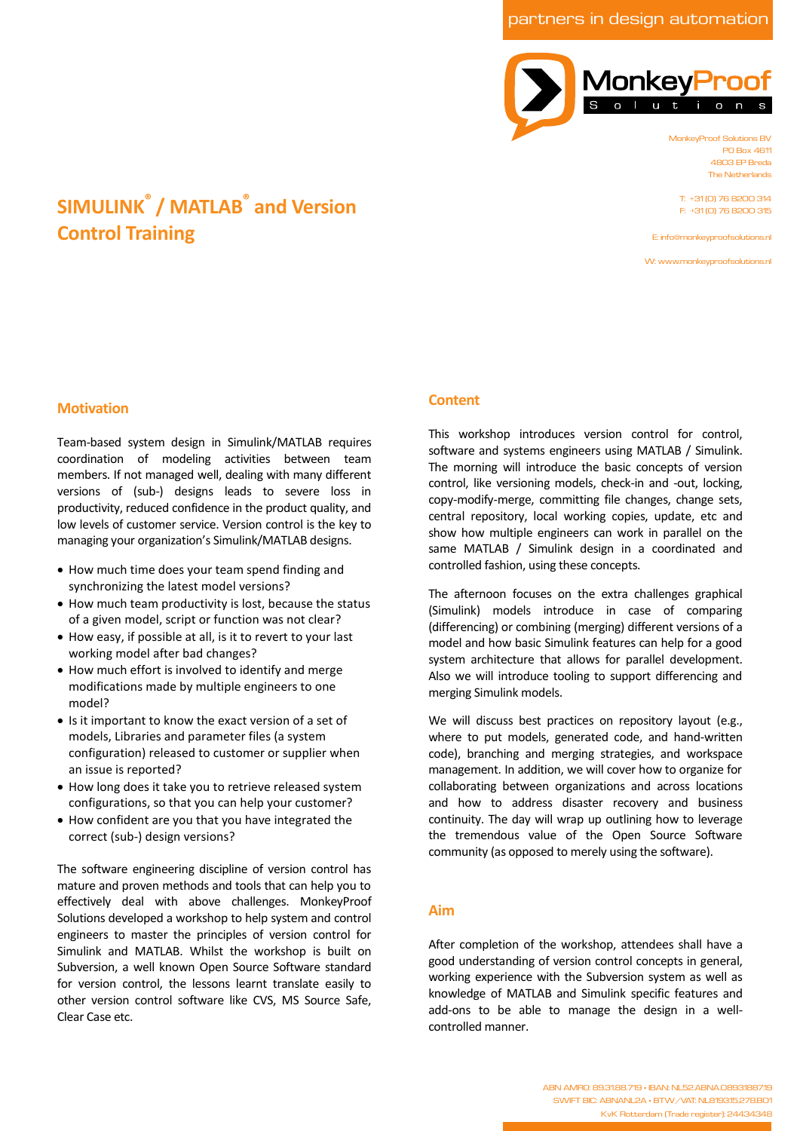partners in design automation



MonkeyProof Solutions BV PO Box 4611 4803 EP Breda The Netherlands

T: +31 (0) 76 8200 314 F: +31 (0) 76 8200 315

E: info@monkeyproofsolutions.nl

W: www.monkeyproofsolutions.nl

# **SIMULINK® / MATLAB® and Version Control Training**

### **Motivation**

Team-based system design in Simulink/MATLAB requires coordination of modeling activities between team members. If not managed well, dealing with many different versions of (sub-) designs leads to severe loss in productivity, reduced confidence in the product quality, and low levels of customer service. Version control is the key to managing your organization's Simulink/MATLAB designs.

- · How much time does your team spend finding and synchronizing the latest model versions?
- · How much team productivity is lost, because the status of a given model, script or function was not clear?
- · How easy, if possible at all, is it to revert to your last working model after bad changes?
- · How much effort is involved to identify and merge modifications made by multiple engineers to one model?
- · Is it important to know the exact version of a set of models, Libraries and parameter files (a system configuration) released to customer or supplier when an issue is reported?
- · How long does it take you to retrieve released system configurations, so that you can help your customer?
- · How confident are you that you have integrated the correct (sub-) design versions?

The software engineering discipline of version control has mature and proven methods and tools that can help you to effectively deal with above challenges. MonkeyProof Solutions developed a workshop to help system and control engineers to master the principles of version control for Simulink and MATLAB. Whilst the workshop is built on Subversion, a well known Open Source Software standard for version control, the lessons learnt translate easily to other version control software like CVS, MS Source Safe, Clear Case etc.

### **Content**

This workshop introduces version control for control, software and systems engineers using MATLAB / Simulink. The morning will introduce the basic concepts of version control, like versioning models, check-in and -out, locking, copy-modify-merge, committing file changes, change sets, central repository, local working copies, update, etc and show how multiple engineers can work in parallel on the same MATLAB / Simulink design in a coordinated and controlled fashion, using these concepts.

The afternoon focuses on the extra challenges graphical (Simulink) models introduce in case of comparing (differencing) or combining (merging) different versions of a model and how basic Simulink features can help for a good system architecture that allows for parallel development. Also we will introduce tooling to support differencing and merging Simulink models.

We will discuss best practices on repository layout (e.g., where to put models, generated code, and hand-written code), branching and merging strategies, and workspace management. In addition, we will cover how to organize for collaborating between organizations and across locations and how to address disaster recovery and business continuity. The day will wrap up outlining how to leverage the tremendous value of the Open Source Software community (as opposed to merely using the software).

### **Aim**

After completion of the workshop, attendees shall have a good understanding of version control concepts in general, working experience with the Subversion system as well as knowledge of MATLAB and Simulink specific features and add-ons to be able to manage the design in a wellcontrolled manner.